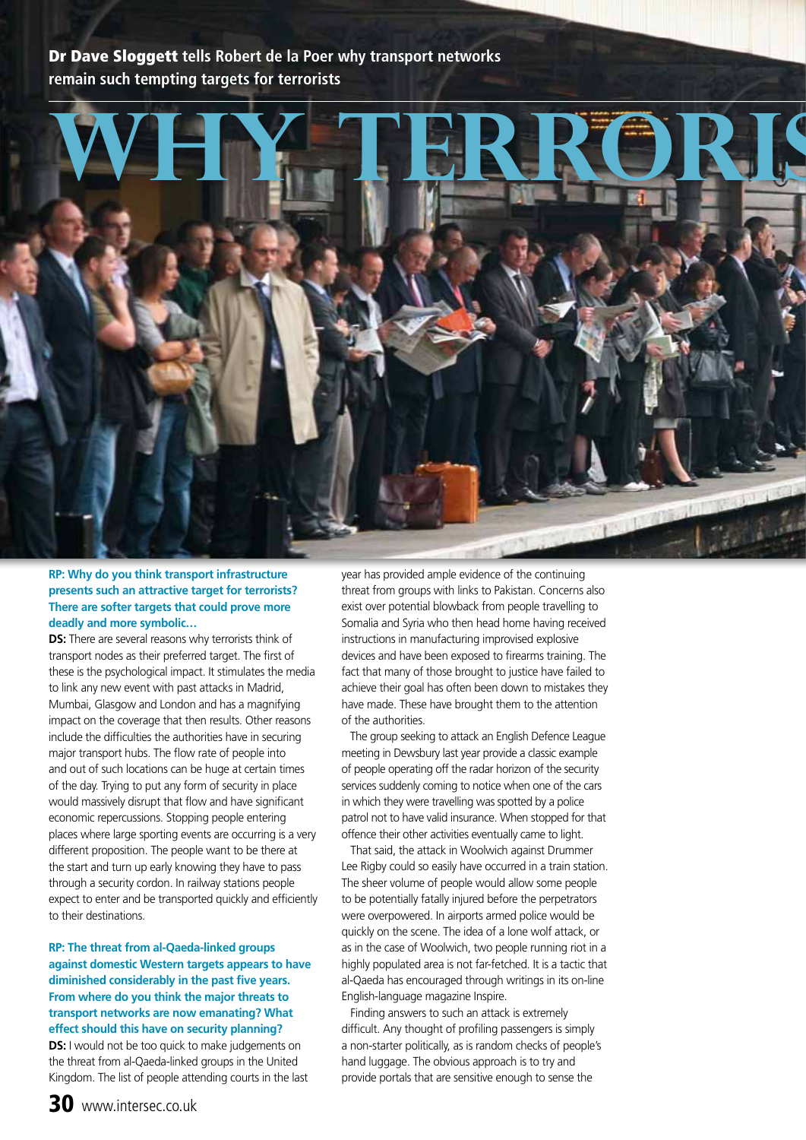Dr Dave Sloggett **tells Robert de la Poer why transport networks remain such tempting targets for terrorists**



#### **RP: Why do you think transport infrastructure presents such an attractive target for terrorists? There are softer targets that could prove more deadly and more symbolic…**

**DS:** There are several reasons why terrorists think of transport nodes as their preferred target. The first of these is the psychological impact. It stimulates the media to link any new event with past attacks in Madrid, Mumbai, Glasgow and London and has a magnifying impact on the coverage that then results. Other reasons include the difficulties the authorities have in securing major transport hubs. The flow rate of people into and out of such locations can be huge at certain times of the day. Trying to put any form of security in place would massively disrupt that flow and have significant economic repercussions. Stopping people entering places where large sporting events are occurring is a very different proposition. The people want to be there at the start and turn up early knowing they have to pass through a security cordon. In railway stations people expect to enter and be transported quickly and efficiently to their destinations.

**RP: The threat from al-Qaeda-linked groups against domestic Western targets appears to have diminished considerably in the past five years. From where do you think the major threats to transport networks are now emanating? What effect should this have on security planning? DS:** I would not be too quick to make judgements on the threat from al-Qaeda-linked groups in the United Kingdom. The list of people attending courts in the last

year has provided ample evidence of the continuing threat from groups with links to Pakistan. Concerns also exist over potential blowback from people travelling to Somalia and Syria who then head home having received instructions in manufacturing improvised explosive devices and have been exposed to firearms training. The fact that many of those brought to justice have failed to achieve their goal has often been down to mistakes they have made. These have brought them to the attention of the authorities.

 The group seeking to attack an English Defence League meeting in Dewsbury last year provide a classic example of people operating off the radar horizon of the security services suddenly coming to notice when one of the cars in which they were travelling was spotted by a police patrol not to have valid insurance. When stopped for that offence their other activities eventually came to light.

 That said, the attack in Woolwich against Drummer Lee Rigby could so easily have occurred in a train station. The sheer volume of people would allow some people to be potentially fatally injured before the perpetrators were overpowered. In airports armed police would be quickly on the scene. The idea of a lone wolf attack, or as in the case of Woolwich, two people running riot in a highly populated area is not far-fetched. It is a tactic that al-Qaeda has encouraged through writings in its on-line English-language magazine Inspire.

 Finding answers to such an attack is extremely difficult. Any thought of profiling passengers is simply a non-starter politically, as is random checks of people's hand luggage. The obvious approach is to try and provide portals that are sensitive enough to sense the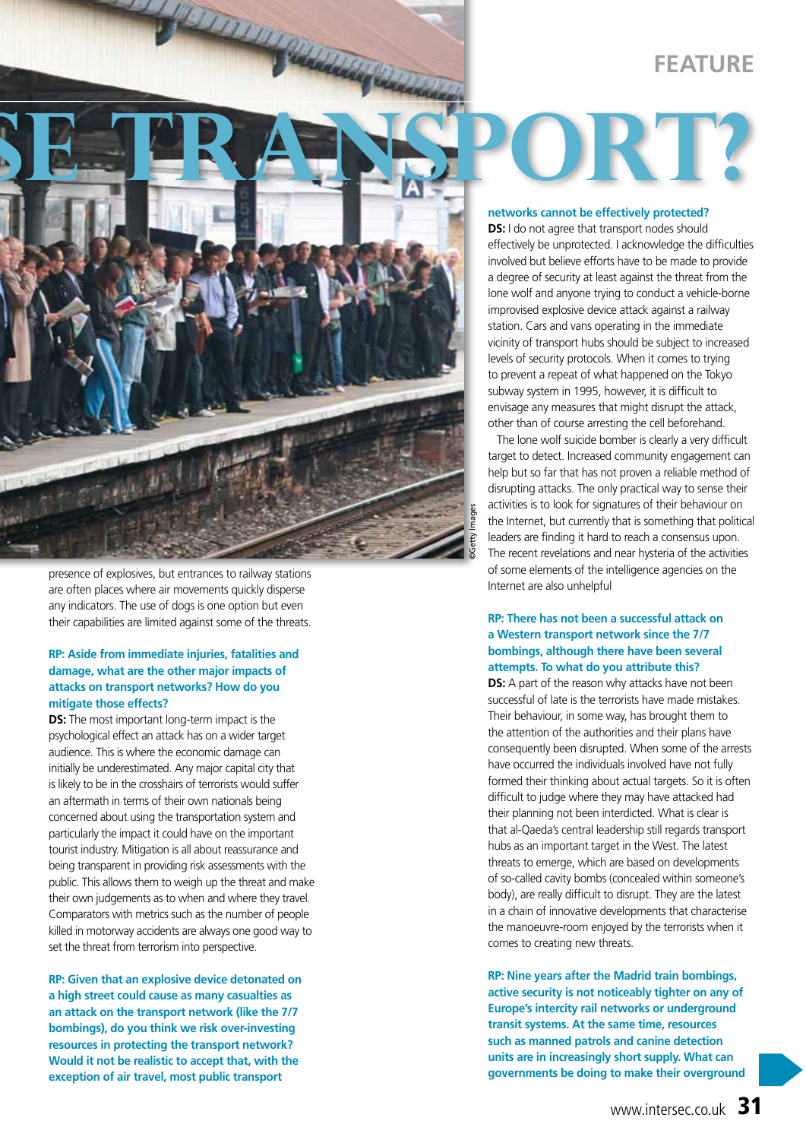# **FEATURE**



presence of explosives, but entrances to railway stations are often places where air movements quickly disperse any indicators. The use of dogs is one option but even their capabilities are limited against some of the threats.

#### **RP: Aside from immediate injuries, fatalities and damage, what are the other major impacts of attacks on transport networks? How do you mitigate those effects?**

**DS:** The most important long-term impact is the psychological effect an attack has on a wider target audience. This is where the economic damage can initially be underestimated. Any major capital city that is likely to be in the crosshairs of terrorists would suffer an aftermath in terms of their own nationals being concerned about using the transportation system and particularly the impact it could have on the important tourist industry. Mitigation is all about reassurance and being transparent in providing risk assessments with the public. This allows them to weigh up the threat and make their own judgements as to when and where they travel. Comparators with metrics such as the number of people killed in motorway accidents are always one good way to set the threat from terrorism into perspective.

**RP: Given that an explosive device detonated on a high street could cause as many casualties as an attack on the transport network (like the 7/7 bombings), do you think we risk over-investing resources in protecting the transport network? Would it not be realistic to accept that, with the exception of air travel, most public transport** 

### **networks cannot be effectively protected?**

**DS:** I do not agree that transport nodes should effectively be unprotected. I acknowledge the difficulties involved but believe efforts have to be made to provide a degree of security at least against the threat from the lone wolf and anyone trying to conduct a vehicle-borne improvised explosive device attack against a railway station. Cars and vans operating in the immediate vicinity of transport hubs should be subject to increased levels of security protocols. When it comes to trying to prevent a repeat of what happened on the Tokyo subway system in 1995, however, it is difficult to envisage any measures that might disrupt the attack, other than of course arresting the cell beforehand.

 The lone wolf suicide bomber is clearly a very difficult target to detect. Increased community engagement can help but so far that has not proven a reliable method of disrupting attacks. The only practical way to sense their activities is to look for signatures of their behaviour on the Internet, but currently that is something that political leaders are finding it hard to reach a consensus upon. The recent revelations and near hysteria of the activities of some elements of the intelligence agencies on the Internet are also unhelpful

#### **RP: There has not been a successful attack on a Western transport network since the 7/7 bombings, although there have been several attempts. To what do you attribute this?**

**DS:** A part of the reason why attacks have not been successful of late is the terrorists have made mistakes. Their behaviour, in some way, has brought them to the attention of the authorities and their plans have consequently been disrupted. When some of the arrests have occurred the individuals involved have not fully formed their thinking about actual targets. So it is often difficult to judge where they may have attacked had their planning not been interdicted. What is clear is that al-Qaeda's central leadership still regards transport hubs as an important target in the West. The latest threats to emerge, which are based on developments of so-called cavity bombs (concealed within someone's body), are really difficult to disrupt. They are the latest in a chain of innovative developments that characterise the manoeuvre-room enjoyed by the terrorists when it comes to creating new threats.

**RP: Nine years after the Madrid train bombings, active security is not noticeably tighter on any of Europe's intercity rail networks or underground transit systems. At the same time, resources such as manned patrols and canine detection units are in increasingly short supply. What can governments be doing to make their overground**